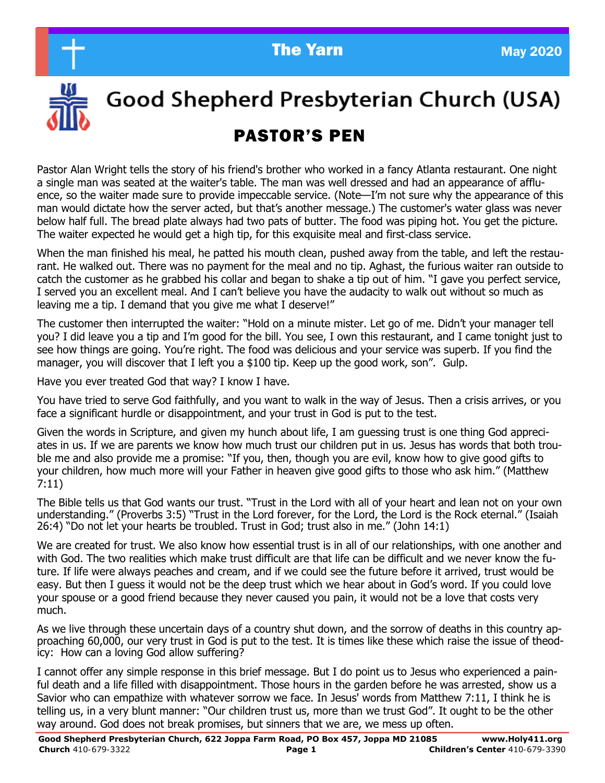



Good Shepherd Presbyterian Church (USA)

# PASTOR'S PEN

Pastor Alan Wright tells the story of his friend's brother who worked in a fancy Atlanta restaurant. One night a single man was seated at the waiter's table. The man was well dressed and had an appearance of affluence, so the waiter made sure to provide impeccable service. (Note—I'm not sure why the appearance of this man would dictate how the server acted, but that's another message.) The customer's water glass was never below half full. The bread plate always had two pats of butter. The food was piping hot. You get the picture. The waiter expected he would get a high tip, for this exquisite meal and first-class service.

When the man finished his meal, he patted his mouth clean, pushed away from the table, and left the restaurant. He walked out. There was no payment for the meal and no tip. Aghast, the furious waiter ran outside to catch the customer as he grabbed his collar and began to shake a tip out of him. "I gave you perfect service, I served you an excellent meal. And I can't believe you have the audacity to walk out without so much as leaving me a tip. I demand that you give me what I deserve!"

The customer then interrupted the waiter: "Hold on a minute mister. Let go of me. Didn't your manager tell you? I did leave you a tip and I'm good for the bill. You see, I own this restaurant, and I came tonight just to see how things are going. You're right. The food was delicious and your service was superb. If you find the manager, you will discover that I left you a \$100 tip. Keep up the good work, son". Gulp.

Have you ever treated God that way? I know I have.

You have tried to serve God faithfully, and you want to walk in the way of Jesus. Then a crisis arrives, or you face a significant hurdle or disappointment, and your trust in God is put to the test.

Given the words in Scripture, and given my hunch about life, I am guessing trust is one thing God appreciates in us. If we are parents we know how much trust our children put in us. Jesus has words that both trouble me and also provide me a promise: "If you, then, though you are evil, know how to give good gifts to your children, how much more will your Father in heaven give good gifts to those who ask him." (Matthew 7:11)

The Bible tells us that God wants our trust. "Trust in the Lord with all of your heart and lean not on your own understanding." (Proverbs 3:5) "Trust in the Lord forever, for the Lord, the Lord is the Rock eternal." (Isaiah 26:4) "Do not let your hearts be troubled. Trust in God; trust also in me." (John 14:1)

We are created for trust. We also know how essential trust is in all of our relationships, with one another and with God. The two realities which make trust difficult are that life can be difficult and we never know the future. If life were always peaches and cream, and if we could see the future before it arrived, trust would be easy. But then I guess it would not be the deep trust which we hear about in God's word. If you could love your spouse or a good friend because they never caused you pain, it would not be a love that costs very much.

As we live through these uncertain days of a country shut down, and the sorrow of deaths in this country approaching 60,000, our very trust in God is put to the test. It is times like these which raise the issue of theodicy: How can a loving God allow suffering?

I cannot offer any simple response in this brief message. But I do point us to Jesus who experienced a painful death and a life filled with disappointment. Those hours in the garden before he was arrested, show us a Savior who can empathize with whatever sorrow we face. In Jesus' words from Matthew 7:11, I think he is telling us, in a very blunt manner: "Our children trust us, more than we trust God". It ought to be the other way around. God does not break promises, but sinners that we are, we mess up often.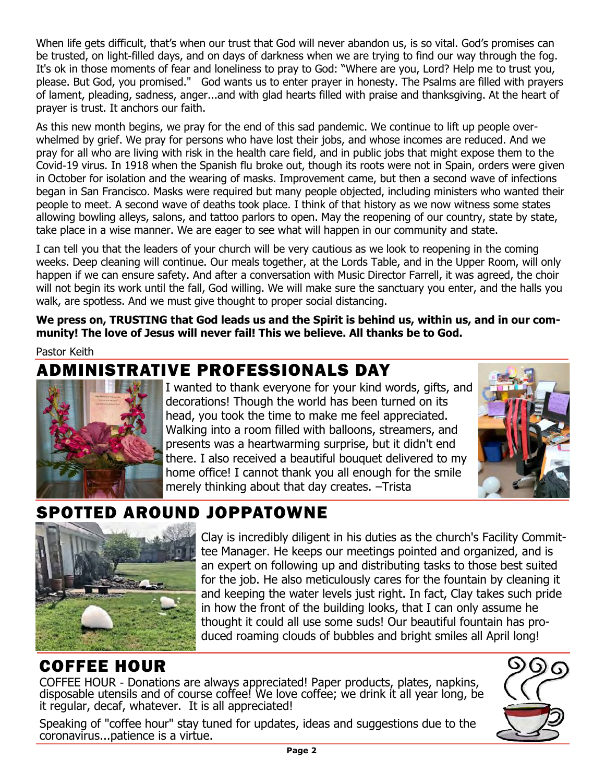when the gets almedit, that s when our trust that dou will hever abandon as, is so vital. God's promises can<br>be trusted, on light-filled days, and on days of darkness when we are trying to find our way through the fog. When life gets difficult, that's when our trust that God will never abandon us, is so vital. God's promises can It's ok in those moments of fear and loneliness to pray to God: "Where are you, Lord? Help me to trust you, please. But God, you promised." God wants us to enter prayer in honesty. The Psalms are filled with prayers of lament, pleading, sadness, anger...and with glad hearts filled with praise and thanksgiving. At the heart of prayer is trust. It anchors our faith.

As this new month begins, we pray for the end of this sad pandemic. We continue to lift up people overwhelmed by grief. We pray for persons who have lost their jobs, and whose incomes are reduced. And we pray for all who are living with risk in the health care field, and in public jobs that might expose them to the Covid-19 virus. In 1918 when the Spanish flu broke out, though its roots were not in Spain, orders were given in October for isolation and the wearing of masks. Improvement came, but then a second wave of infections began in San Francisco. Masks were required but many people objected, including ministers who wanted their people to meet. A second wave of deaths took place. I think of that history as we now witness some states allowing bowling alleys, salons, and tattoo parlors to open. May the reopening of our country, state by state, take place in a wise manner. We are eager to see what will happen in our community and state.

I can tell you that the leaders of your church will be very cautious as we look to reopening in the coming weeks. Deep cleaning will continue. Our meals together, at the Lords Table, and in the Upper Room, will only happen if we can ensure safety. And after a conversation with Music Director Farrell, it was agreed, the choir will not begin its work until the fall, God willing. We will make sure the sanctuary you enter, and the halls you walk, are spotless. And we must give thought to proper social distancing.

**We press on, TRUSTING that God leads us and the Spirit is behind us, within us, and in our community! The love of Jesus will never fail! This we believe. All thanks be to God.**

Pastor Keith

### ADMINISTRATIVE PROFESSIONALS DAY



I wanted to thank everyone for your kind words, gifts, and decorations! Though the world has been turned on its head, you took the time to make me feel appreciated. Walking into a room filled with balloons, streamers, and presents was a heartwarming surprise, but it didn't end there. I also received a beautiful bouquet delivered to my home office! I cannot thank you all enough for the smile merely thinking about that day creates. –Trista



# SPOTTED AROUND JOPPATOWNE



Clay is incredibly diligent in his duties as the church's Facility Committee Manager. He keeps our meetings pointed and organized, and is an expert on following up and distributing tasks to those best suited for the job. He also meticulously cares for the fountain by cleaning it and keeping the water levels just right. In fact, Clay takes such pride in how the front of the building looks, that I can only assume he thought it could all use some suds! Our beautiful fountain has produced roaming clouds of bubbles and bright smiles all April long!

### COFFEE HOUR

COFFEE HOUR - Donations are always appreciated! Paper products, plates, napkins, disposable utensils and of course coffee! We love coffee; we drink it all year long, be it regular, decaf, whatever. It is all appreciated!

Speaking of "coffee hour" stay tuned for updates, ideas and suggestions due to the coronavirus...patience is a virtue.

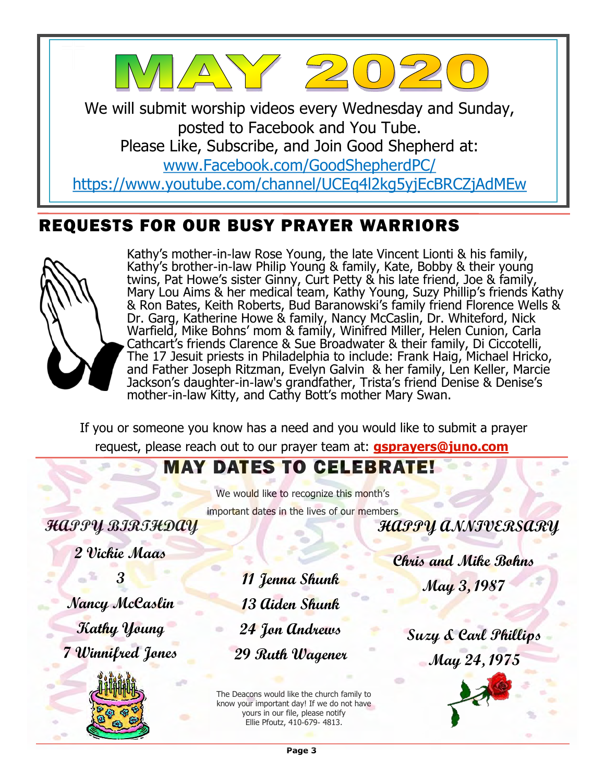

### REQUESTS FOR OUR BUSY PRAYER WARRIORS



Kathy's mother-in-law Rose Young, the late Vincent Lionti & his family, Kathy's brother-in-law Philip Young & family, Kate, Bobby & their young twins, Pat Howe's sister Ginny, Curt Petty & his late friend, Joe & family, Mary Lou Aims & her medical team, Kathy Young, Suzy Phillip's friends Kathy & Ron Bates, Keith Roberts, Bud Baranowski's family friend Florence Wells & Dr. Garg, Katherine Howe & family, Nancy McCaslin, Dr. Whiteford, Nick Warfield, Mike Bohns' mom & family, Winifred Miller, Helen Cunion, Carla Cathcart's friends Clarence & Sue Broadwater & their family, Di Ciccotelli, The 17 Jesuit priests in Philadelphia to include: Frank Haig, Michael Hricko, and Father Joseph Ritzman, Evelyn Galvin & her family, Len Keller, Marcie Jackson's daughter-in-law's grandfather, Trista's friend Denise & Denise's mother-in-law Kitty, and Cathy Bott's mother Mary Swan.

If you or someone you know has a need and you would like to submit a prayer request, please reach out to our prayer team at: **[gsprayers@juno.com](mailto:gsprayers@juno.com)**

## MAY DATES TO CELEBRATE!

We would like to recognize this month's important dates in the lives of our members

**HAPPY BIRTHDAY**

**2 Vickie Maas**

**3**

**Nancy McCaslin Kathy Young 7 Winnifred Jones**



**11 Jenna Shunk 13 Aiden Shunk 24 Jon Andrews 29 Ruth Wagener**

The Deacons would like the church family to know your important day! If we do not have yours in our file, please notify Ellie Pfoutz, 410-679- 4813.

**Chris and Mike Bohns May 3, 1987**

**HAPPY ANNIVERSARY**

**Suzy & Carl Phillips May 24, 1975**

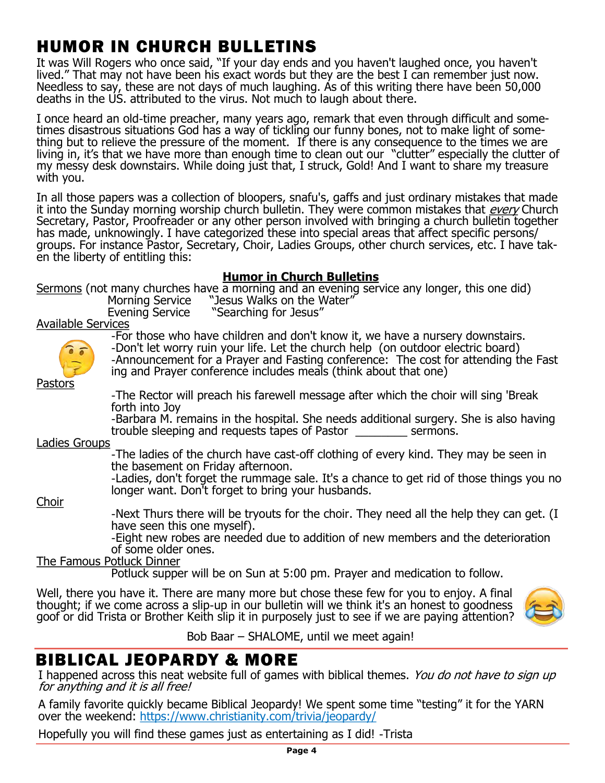# HUMOR IN CHURCH BULLETINS

May 2020 It was Will Rogers who once said, "If your day ends and you haven't laughed once, you haven't lived." That may not have been his exact words but they are the best I can remember just now. Needless to say, these are not days of much laughing. As of this writing there have been 50,000 deaths in the US. attributed to the virus. Not much to laugh about there.

I once heard an old-time preacher, many years ago, remark that even through difficult and sometimes disastrous situations God has a way of tickling our funny bones, not to make light of something but to relieve the pressure of the moment. If there is any consequence to the times we are living in, it's that we have more than enough time to clean out our "clutter" especially the clutter of my messy desk downstairs. While doing just that, I struck, Gold! And I want to share my treasure with you.

In all those papers was a collection of bloopers, snafu's, gaffs and just ordinary mistakes that made it into the Sunday morning worship church bulletin. They were common mistakes that *every* Church Secretary, Pastor, Proofreader or any other person involved with bringing a church bulletin together has made, unknowingly. I have categorized these into special areas that affect specific persons/ groups. For instance Pastor, Secretary, Choir, Ladies Groups, other church services, etc. I have taken the liberty of entitling this: j

#### **Humor in Church Bulletins**

Sermons (not many churches have  $\overline{a}$  morning and an evening service any longer, this one did)

Morning Service "Jesus Walks on the Water"

Evening Service "Searching for Jesus"

Available Services



-For those who have children and don't know it, we have a nursery downstairs. -Don't let worry ruin your life. Let the church help (on outdoor electric board) -Announcement for a Prayer and Fasting conference: The cost for attending the Fast ing and Prayer conference includes meals (think about that one)

Pastors

-The Rector will preach his farewell message after which the choir will sing 'Break forth into Joy

-Barbara M. remains in the hospital. She needs additional surgery. She is also having trouble sleeping and requests tapes of Pastor \_\_\_\_\_\_\_\_ sermons.

Ladies Groups

-The ladies of the church have cast-off clothing of every kind. They may be seen in the basement on Friday afternoon.

-Ladies, don't forget the rummage sale. It's a chance to get rid of those things you no longer want. Don't forget to bring your husbands.

Choir

-Next Thurs there will be tryouts for the choir. They need all the help they can get. (I have seen this one myself).

-Eight new robes are needed due to addition of new members and the deterioration of some older ones.

#### The Famous Potluck Dinner

Potluck supper will be on Sun at 5:00 pm. Prayer and medication to follow.

Well, there you have it. There are many more but chose these few for you to enjoy. A final thought; if we come across a slip-up in our bulletin will we think it's an honest to goodness goof or did Trista or Brother Keith slip it in purposely just to see if we are paying attention?



Bob Baar – SHALOME, until we meet again!

### BIBLICAL JEOPARDY & MORE

I happened across this neat website full of games with biblical themes. You do not have to sign up for anything and it is all free!

A family favorite quickly became Biblical Jeopardy! We spent some time "testing" it for the YARN over the weekend: <https://www.christianity.com/trivia/jeopardy/>

Hopefully you will find these games just as entertaining as I did! -Trista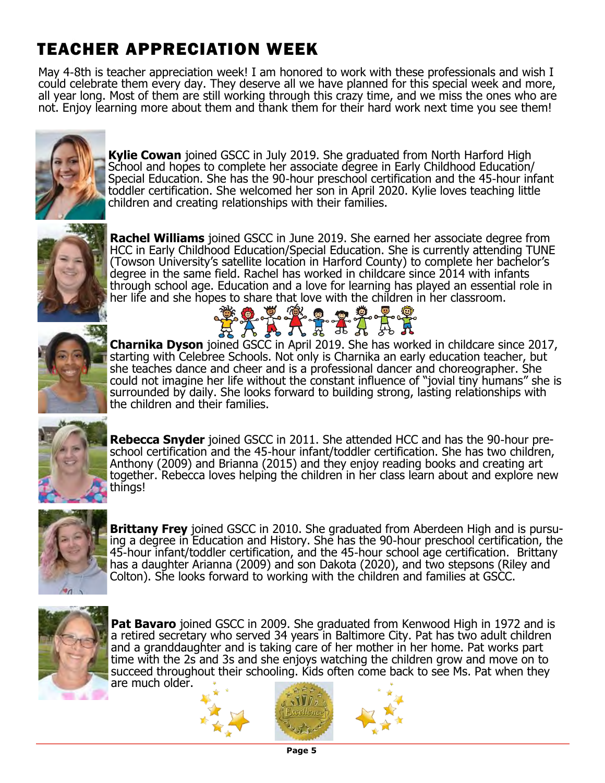# TEACHER APPRECIATION WEEK

May 4-8th is teacher appreciation week! I am honored to work with these professionals and wish I could celebrate them every day. They deserve all we have planned for this special week and more, all year long. Most of them are still working through this crazy time, and we miss the ones who are not. Enjoy learning more about them and thank them for their hard work next time you see them!



**Kylie Cowan** joined GSCC in July 2019. She graduated from North Harford High School and hopes to complete her associate degree in Early Childhood Education/ Special Education. She has the 90-hour preschool certification and the 45-hour infant toddler certification. She welcomed her son in April 2020. Kylie loves teaching little children and creating relationships with their families.



**Rachel Williams** joined GSCC in June 2019. She earned her associate degree from HCC in Early Childhood Education/Special Education. She is currently attending TUNE (Towson University's satellite location in Harford County) to complete her bachelor's degree in the same field. Rachel has worked in childcare since 2014 with infants through school age. Education and a love for learning has played an essential role in her life and she hopes to share that love with the children in her classroom.

8:0 V (2 0 0 0



EXAKTTALA **Charnika Dyson** joined GSCC in April 2019. She has worked in childcare since 2017, starting with Celebree Schools. Not only is Charnika an early education teacher, but she teaches dance and cheer and is a professional dancer and choreographer. She could not imagine her life without the constant influence of "jovial tiny humans" she is surrounded by daily. She looks forward to building strong, lasting relationships with the children and their families.



**Rebecca Snyder** joined GSCC in 2011. She attended HCC and has the 90-hour preschool certification and the 45-hour infant/toddler certification. She has two children, Anthony (2009) and Brianna (2015) and they enjoy reading books and creating art together. Rebecca loves helping the children in her class learn about and explore new things!



**Brittany Frey** joined GSCC in 2010. She graduated from Aberdeen High and is pursuing a degree in Education and History. She has the 90-hour preschool certification, the 45-hour infant/toddler certification, and the 45-hour school age certification. Brittany has a daughter Arianna (2009) and son Dakota (2020), and two stepsons (Riley and Colton). She looks forward to working with the children and families at GSCC.



**Pat Bavaro** joined GSCC in 2009. She graduated from Kenwood High in 1972 and is a retired secretary who served 34 years in Baltimore City. Pat has two adult children and a granddaughter and is taking care of her mother in her home. Pat works part time with the 2s and 3s and she enjoys watching the children grow and move on to succeed throughout their schooling. Kids often come back to see Ms. Pat when they are much older.



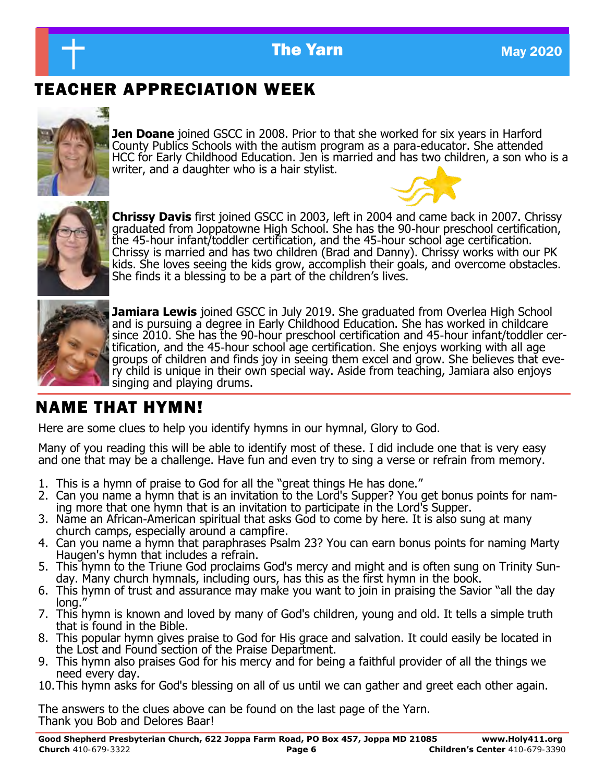

### TEACHER APPRECIATION WEEK



**Jen Doane** joined GSCC in 2008. Prior to that she worked for six years in Harford County Publics Schools with the autism program as a para-educator. She attended HCC for Early Childhood Education. Jen is married and has two children, a son who is a writer, and a daughter who is a hair stylist.



**Chrissy Davis** first joined GSCC in 2003, left in 2004 and came back in 2007. Chrissy graduated from Joppatowne High School. She has the 90-hour preschool certification, the 45-hour infant/toddler certification, and the 45-hour school age certification. Chrissy is married and has two children (Brad and Danny). Chrissy works with our PK kids. She loves seeing the kids grow, accomplish their goals, and overcome obstacles. She finds it a blessing to be a part of the children's lives.



**Jamiara Lewis** joined GSCC in July 2019. She graduated from Overlea High School and is pursuing a degree in Early Childhood Education. She has worked in childcare since 2010. She has the 90-hour preschool certification and 45-hour infant/toddler certification, and the 45-hour school age certification. She enjoys working with all age groups of children and finds joy in seeing them excel and grow. She believes that every child is unique in their own special way. Aside from teaching, Jamiara also enjoys singing and playing drums.

### NAME THAT HYMN!

Here are some clues to help you identify hymns in our hymnal, Glory to God.

Many of you reading this will be able to identify most of these. I did include one that is very easy and one that may be a challenge. Have fun and even try to sing a verse or refrain from memory.

- 1. This is a hymn of praise to God for all the "great things He has done."
- 2. Can you name a hymn that is an invitation to the Lord's Supper? You get bonus points for naming more that one hymn that is an invitation to participate in the Lord's Supper.
- 3. Name an African-American spiritual that asks God to come by here. It is also sung at many church camps, especially around a campfire.
- 4. Can you name a hymn that paraphrases Psalm 23? You can earn bonus points for naming Marty Haugen's hymn that includes a refrain.
- 5. This hymn to the Triune God proclaims God's mercy and might and is often sung on Trinity Sunday. Many church hymnals, including ours, has this as the first hymn in the book.
- 6. This hymn of trust and assurance may make you want to join in praising the Savior "all the day long.
- 7. This hymn is known and loved by many of God's children, young and old. It tells a simple truth that is found in the Bible.
- 8. This popular hymn gives praise to God for His grace and salvation. It could easily be located in the Lost and Found section of the Praise Department.
- 9. This hymn also praises God for his mercy and for being a faithful provider of all the things we need every day.
- 10.This hymn asks for God's blessing on all of us until we can gather and greet each other again.

The answers to the clues above can be found on the last page of the Yarn. Thank you Bob and Delores Baar!